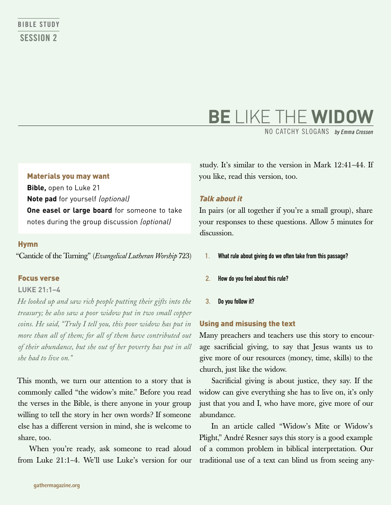# **BE** LIKE THE **WIDOW**

NO CATCHY SLOGANS *by Emma Crossen*

#### Materials you may want

**Bible,** open to Luke 21 **Note pad** for yourself (optional) **One easel or large board** for someone to take notes during the group discussion (optional)

#### Hymn

"Canticle of the Turning" (*Evangelical Lutheran Worship* 723)

#### Focus verse

#### **Luke 21:1–4**

*He looked up and saw rich people putting their gifts into the treasury; he also saw a poor widow put in two small copper coins. He said, "Truly I tell you, this poor widow has put in more than all of them; for all of them have contributed out of their abundance, but she out of her poverty has put in all she had to live on."*

This month, we turn our attention to a story that is commonly called "the widow's mite." Before you read the verses in the Bible, is there anyone in your group willing to tell the story in her own words? If someone else has a different version in mind, she is welcome to share, too.

When you're ready, ask someone to read aloud from Luke 21:1–4. We'll use Luke's version for our

study. It's similar to the version in Mark 12:41–44. If you like, read this version, too.

#### Talk about it

In pairs (or all together if you're a small group), share your responses to these questions. Allow 5 minutes for discussion.

- 1. What rule about giving do we often take from this passage?
- 2. How do you feel about this rule?
- 3. Do you follow it?

#### Using and misusing the text

Many preachers and teachers use this story to encourage sacrificial giving, to say that Jesus wants us to give more of our resources (money, time, skills) to the church, just like the widow.

Sacrificial giving is about justice, they say. If the widow can give everything she has to live on, it's only just that you and I, who have more, give more of our abundance.

In an article called "Widow's Mite or Widow's Plight," André Resner says this story is a good example of a common problem in biblical interpretation. Our traditional use of a text can blind us from seeing any-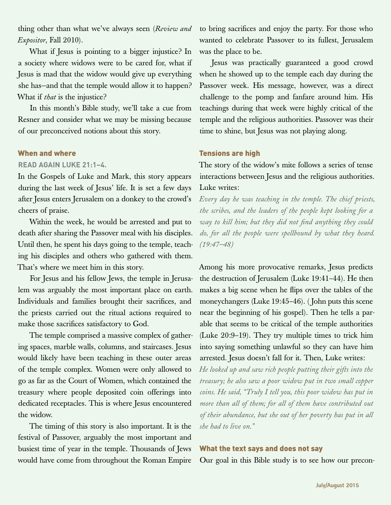thing other than what we've always seen (*Review and Expositor*, Fall 2010).

What if Jesus is pointing to a bigger injustice? In a society where widows were to be cared for, what if Jesus is mad that the widow would give up everything she has—and that the temple would allow it to happen? What if *that* is the injustice?

In this month's Bible study, we'll take a cue from Resner and consider what we may be missing because of our preconceived notions about this story.

#### When and where

#### **Read again Luke 21:1–4.**

In the Gospels of Luke and Mark, this story appears during the last week of Jesus' life. It is set a few days after Jesus enters Jerusalem on a donkey to the crowd's cheers of praise.

Within the week, he would be arrested and put to death after sharing the Passover meal with his disciples. Until then, he spent his days going to the temple, teaching his disciples and others who gathered with them. That's where we meet him in this story.

For Jesus and his fellow Jews, the temple in Jerusalem was arguably the most important place on earth. Individuals and families brought their sacrifices, and the priests carried out the ritual actions required to make those sacrifices satisfactory to God.

The temple comprised a massive complex of gathering spaces, marble walls, columns, and staircases. Jesus would likely have been teaching in these outer areas of the temple complex. Women were only allowed to go as far as the Court of Women, which contained the treasury where people deposited coin offerings into dedicated receptacles. This is where Jesus encountered the widow.

The timing of this story is also important. It is the festival of Passover, arguably the most important and busiest time of year in the temple. Thousands of Jews would have come from throughout the Roman Empire

to bring sacrifices and enjoy the party. For those who wanted to celebrate Passover to its fullest, Jerusalem was the place to be.

Jesus was practically guaranteed a good crowd when he showed up to the temple each day during the Passover week. His message, however, was a direct challenge to the pomp and fanfare around him. His teachings during that week were highly critical of the temple and the religious authorities. Passover was their time to shine, but Jesus was not playing along.

#### Tensions are high

The story of the widow's mite follows a series of tense interactions between Jesus and the religious authorities. Luke writes:

*Every day he was teaching in the temple. The chief priests, the scribes, and the leaders of the people kept looking for a way to kill him; but they did not find anything they could do, for all the people were spellbound by what they heard. (19:47–48)*

Among his more provocative remarks, Jesus predicts the destruction of Jerusalem (Luke 19:41–44). He then makes a big scene when he flips over the tables of the moneychangers (Luke 19:45–46). ( John puts this scene near the beginning of his gospel). Then he tells a parable that seems to be critical of the temple authorities (Luke 20:9–19). They try multiple times to trick him into saying something unlawful so they can have him arrested. Jesus doesn't fall for it. Then, Luke writes:

*He looked up and saw rich people putting their gifts into the treasury; he also saw a poor widow put in two small copper coins. He said, "Truly I tell you, this poor widow has put in more than all of them; for all of them have contributed out of their abundance, but she out of her poverty has put in all she had to live on."* 

#### What the text says and does not say

Our goal in this Bible study is to see how our precon-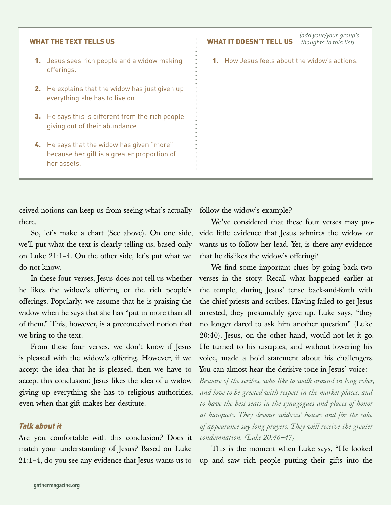(add your/your group's



ceived notions can keep us from seeing what's actually there.

So, let's make a chart (See above). On one side, we'll put what the text is clearly telling us, based only on Luke 21:1–4. On the other side, let's put what we do not know.

In these four verses, Jesus does not tell us whether he likes the widow's offering or the rich people's offerings. Popularly, we assume that he is praising the widow when he says that she has "put in more than all of them." This, however, is a preconceived notion that we bring to the text.

From these four verses, we don't know if Jesus is pleased with the widow's offering. However, if we accept the idea that he is pleased, then we have to accept this conclusion: Jesus likes the idea of a widow giving up everything she has to religious authorities, even when that gift makes her destitute.

#### Talk about it

Are you comfortable with this conclusion? Does it match your understanding of Jesus? Based on Luke 21:1–4, do you see any evidence that Jesus wants us to

follow the widow's example?

We've considered that these four verses may provide little evidence that Jesus admires the widow or wants us to follow her lead. Yet, is there any evidence that he dislikes the widow's offering?

We find some important clues by going back two verses in the story. Recall what happened earlier at the temple, during Jesus' tense back-and-forth with the chief priests and scribes. Having failed to get Jesus arrested, they presumably gave up. Luke says, "they no longer dared to ask him another question" (Luke 20:40). Jesus, on the other hand, would not let it go. He turned to his disciples, and without lowering his voice, made a bold statement about his challengers. You can almost hear the derisive tone in Jesus' voice:

*Beware of the scribes, who like to walk around in long robes, and love to be greeted with respect in the market places, and to have the best seats in the synagogues and places of honor at banquets. They devour widows' houses and for the sake of appearance say long prayers. They will receive the greater condemnation. (Luke 20:46–47)*

This is the moment when Luke says, "He looked up and saw rich people putting their gifts into the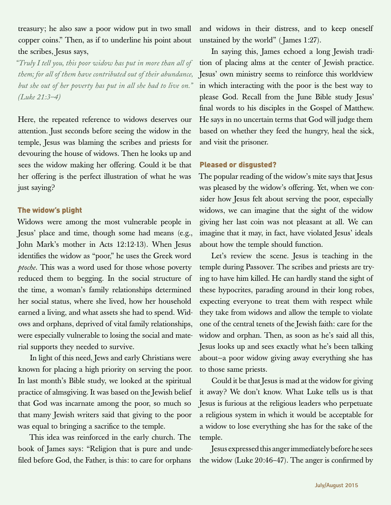treasury; he also saw a poor widow put in two small copper coins." Then, as if to underline his point about the scribes, Jesus says,

*"Truly I tell you, this poor widow has put in more than all of them; for all of them have contributed out of their abundance, but she out of her poverty has put in all she had to live on." (Luke 21:3–4)*

Here, the repeated reference to widows deserves our attention. Just seconds before seeing the widow in the temple, Jesus was blaming the scribes and priests for devouring the house of widows. Then he looks up and sees the widow making her offering. Could it be that her offering is the perfect illustration of what he was just saying?

## The widow's plight

Widows were among the most vulnerable people in Jesus' place and time, though some had means (e.g., John Mark's mother in Acts 12:12-13). When Jesus identifies the widow as "poor," he uses the Greek word *ptoche*. This was a word used for those whose poverty reduced them to begging. In the social structure of the time, a woman's family relationships determined her social status, where she lived, how her household earned a living, and what assets she had to spend. Widows and orphans, deprived of vital family relationships, were especially vulnerable to losing the social and material supports they needed to survive.

In light of this need, Jews and early Christians were known for placing a high priority on serving the poor. In last month's Bible study, we looked at the spiritual practice of almsgiving. It was based on the Jewish belief that God was incarnate among the poor, so much so that many Jewish writers said that giving to the poor was equal to bringing a sacrifice to the temple.

This idea was reinforced in the early church. The book of James says: "Religion that is pure and undefiled before God, the Father, is this: to care for orphans

and widows in their distress, and to keep oneself unstained by the world" ( James 1:27).

In saying this, James echoed a long Jewish tradition of placing alms at the center of Jewish practice. Jesus' own ministry seems to reinforce this worldview in which interacting with the poor is the best way to please God. Recall from the June Bible study Jesus' final words to his disciples in the Gospel of Matthew. He says in no uncertain terms that God will judge them based on whether they feed the hungry, heal the sick, and visit the prisoner.

## Pleased or disgusted?

The popular reading of the widow's mite says that Jesus was pleased by the widow's offering. Yet, when we consider how Jesus felt about serving the poor, especially widows, we can imagine that the sight of the widow giving her last coin was not pleasant at all. We can imagine that it may, in fact, have violated Jesus' ideals about how the temple should function.

Let's review the scene. Jesus is teaching in the temple during Passover. The scribes and priests are trying to have him killed. He can hardly stand the sight of these hypocrites, parading around in their long robes, expecting everyone to treat them with respect while they take from widows and allow the temple to violate one of the central tenets of the Jewish faith: care for the widow and orphan. Then, as soon as he's said all this, Jesus looks up and sees exactly what he's been talking about—a poor widow giving away everything she has to those same priests.

Could it be that Jesus is mad at the widow for giving it away? We don't know. What Luke tells us is that Jesus is furious at the religious leaders who perpetuate a religious system in which it would be acceptable for a widow to lose everything she has for the sake of the temple.

Jesus expressed this anger immediately before he sees the widow (Luke 20:46–47). The anger is confirmed by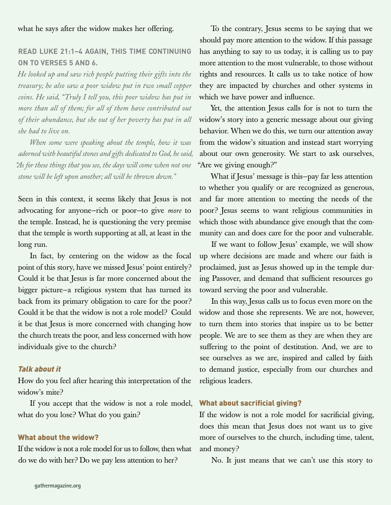#### what he says after the widow makes her offering.

# **Read Luke 21:1–4 again, this time continuing on to verses 5 and 6.**

*He looked up and saw rich people putting their gifts into the treasury; he also saw a poor widow put in two small copper coins. He said, "Truly I tell you, this poor widow has put in more than all of them; for all of them have contributed out of their abundance, but she out of her poverty has put in all she had to live on.* 

*When some were speaking about the temple, how it was adorned with beautiful stones and gifts dedicated to God, he said, "As for these things that you see, the days will come when not one stone will be left upon another; all will be thrown down."*

Seen in this context, it seems likely that Jesus is not advocating for anyone—rich or poor—to give *more* to the temple. Instead, he is questioning the very premise that the temple is worth supporting at all, at least in the long run.

In fact, by centering on the widow as the focal point of this story, have we missed Jesus' point entirely? Could it be that Jesus is far more concerned about the bigger picture—a religious system that has turned its back from its primary obligation to care for the poor? Could it be that the widow is not a role model? Could it be that Jesus is more concerned with changing how the church treats the poor, and less concerned with how individuals give to the church?

#### Talk about it

How do you feel after hearing this interpretation of the widow's mite?

If you accept that the widow is not a role model, what do you lose? What do you gain?

#### What about the widow?

If the widow is not a role model for us to follow, then what do we do with her? Do we pay less attention to her?

To the contrary, Jesus seems to be saying that we should pay more attention to the widow. If this passage has anything to say to us today, it is calling us to pay more attention to the most vulnerable, to those without rights and resources. It calls us to take notice of how they are impacted by churches and other systems in which we have power and influence.

Yet, the attention Jesus calls for is not to turn the widow's story into a generic message about our giving behavior. When we do this, we turn our attention away from the widow's situation and instead start worrying about our own generosity. We start to ask ourselves, "Are we giving enough?"

What if Jesus' message is this—pay far less attention to whether you qualify or are recognized as generous, and far more attention to meeting the needs of the poor? Jesus seems to want religious communities in which those with abundance give enough that the community can and does care for the poor and vulnerable.

If we want to follow Jesus' example, we will show up where decisions are made and where our faith is proclaimed, just as Jesus showed up in the temple during Passover, and demand that sufficient resources go toward serving the poor and vulnerable.

In this way, Jesus calls us to focus even more on the widow and those she represents. We are not, however, to turn them into stories that inspire us to be better people. We are to see them as they are when they are suffering to the point of destitution. And, we are to see ourselves as we are, inspired and called by faith to demand justice, especially from our churches and religious leaders.

#### What about sacrificial giving?

If the widow is not a role model for sacrificial giving, does this mean that Jesus does not want us to give more of ourselves to the church, including time, talent, and money?

No. It just means that we can't use this story to